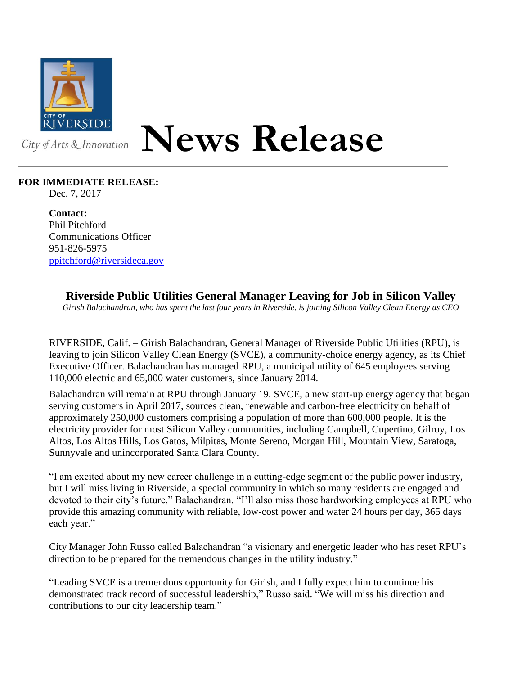

## **News Release**

## **FOR IMMEDIATE RELEASE:**

Dec. 7, 2017

**Contact:** Phil Pitchford Communications Officer 951-826-5975 [ppitchford@riversideca.gov](mailto:ppitchford@riversideca.gov)

**Riverside Public Utilities General Manager Leaving for Job in Silicon Valley**

*Girish Balachandran, who has spent the last four years in Riverside, is joining Silicon Valley Clean Energy as CEO*

RIVERSIDE, Calif. – Girish Balachandran, General Manager of Riverside Public Utilities (RPU), is leaving to join Silicon Valley Clean Energy (SVCE), a community-choice energy agency, as its Chief Executive Officer. Balachandran has managed RPU, a municipal utility of 645 employees serving 110,000 electric and 65,000 water customers, since January 2014.

Balachandran will remain at RPU through January 19. SVCE, a new start-up energy agency that began serving customers in April 2017, sources clean, renewable and carbon-free electricity on behalf of approximately 250,000 customers comprising a population of more than 600,000 people. It is the electricity provider for most Silicon Valley communities, including Campbell, Cupertino, Gilroy, Los Altos, Los Altos Hills, Los Gatos, Milpitas, Monte Sereno, Morgan Hill, Mountain View, Saratoga, Sunnyvale and unincorporated Santa Clara County.

"I am excited about my new career challenge in a cutting-edge segment of the public power industry, but I will miss living in Riverside, a special community in which so many residents are engaged and devoted to their city's future," Balachandran. "I'll also miss those hardworking employees at RPU who provide this amazing community with reliable, low-cost power and water 24 hours per day, 365 days each year."

City Manager John Russo called Balachandran "a visionary and energetic leader who has reset RPU's direction to be prepared for the tremendous changes in the utility industry."

"Leading SVCE is a tremendous opportunity for Girish, and I fully expect him to continue his demonstrated track record of successful leadership," Russo said. "We will miss his direction and contributions to our city leadership team."